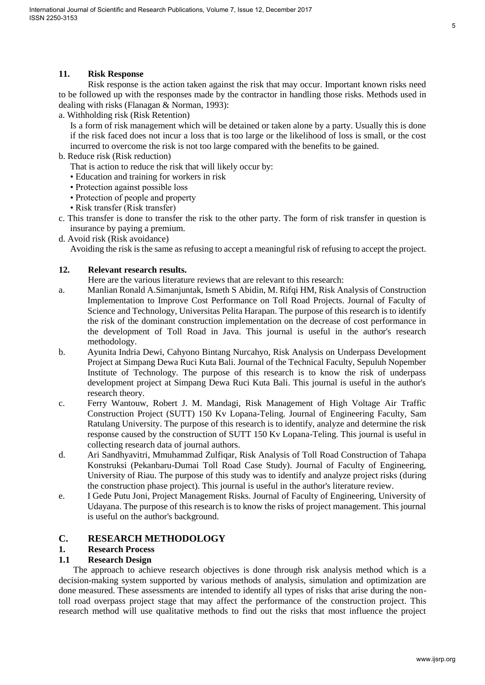#### **11. Risk Response**

Risk response is the action taken against the risk that may occur. Important known risks need to be followed up with the responses made by the contractor in handling those risks. Methods used in dealing with risks (Flanagan & Norman, 1993):

a. Withholding risk (Risk Retention)

Is a form of risk management which will be detained or taken alone by a party. Usually this is done if the risk faced does not incur a loss that is too large or the likelihood of loss is small, or the cost incurred to overcome the risk is not too large compared with the benefits to be gained.

- b. Reduce risk (Risk reduction)
	- That is action to reduce the risk that will likely occur by:
	- Education and training for workers in risk
	- Protection against possible loss
	- Protection of people and property
	- Risk transfer (Risk transfer)
- c. This transfer is done to transfer the risk to the other party. The form of risk transfer in question is insurance by paying a premium.
- d. Avoid risk (Risk avoidance)

Avoiding the risk is the same as refusing to accept a meaningful risk of refusing to accept the project.

#### **12. Relevant research results.**

Here are the various literature reviews that are relevant to this research:

- a. Manlian Ronald A.Simanjuntak, Ismeth S Abidin, M. Rifqi HM, Risk Analysis of Construction Implementation to Improve Cost Performance on Toll Road Projects. Journal of Faculty of Science and Technology, Universitas Pelita Harapan. The purpose of this research is to identify the risk of the dominant construction implementation on the decrease of cost performance in the development of Toll Road in Java. This journal is useful in the author's research methodology.
- b. Ayunita Indria Dewi, Cahyono Bintang Nurcahyo, Risk Analysis on Underpass Development Project at Simpang Dewa Ruci Kuta Bali. Journal of the Technical Faculty, Sepuluh Nopember Institute of Technology. The purpose of this research is to know the risk of underpass development project at Simpang Dewa Ruci Kuta Bali. This journal is useful in the author's research theory.
- c. Ferry Wantouw, Robert J. M. Mandagi, Risk Management of High Voltage Air Traffic Construction Project (SUTT) 150 Kv Lopana-Teling. Journal of Engineering Faculty, Sam Ratulang University. The purpose of this research is to identify, analyze and determine the risk response caused by the construction of SUTT 150 Kv Lopana-Teling. This journal is useful in collecting research data of journal authors.
- d. Ari Sandhyavitri, Mmuhammad Zulfiqar, Risk Analysis of Toll Road Construction of Tahapa Konstruksi (Pekanbaru-Dumai Toll Road Case Study). Journal of Faculty of Engineering, University of Riau. The purpose of this study was to identify and analyze project risks (during the construction phase project). This journal is useful in the author's literature review.
- e. I Gede Putu Joni, Project Management Risks. Journal of Faculty of Engineering, University of Udayana. The purpose of this research is to know the risks of project management. This journal is useful on the author's background.

# **C. RESEARCH METHODOLOGY**

#### **1. Research Process**

## **1.1 Research Design**

The approach to achieve research objectives is done through risk analysis method which is a decision-making system supported by various methods of analysis, simulation and optimization are done measured. These assessments are intended to identify all types of risks that arise during the nontoll road overpass project stage that may affect the performance of the construction project. This research method will use qualitative methods to find out the risks that most influence the project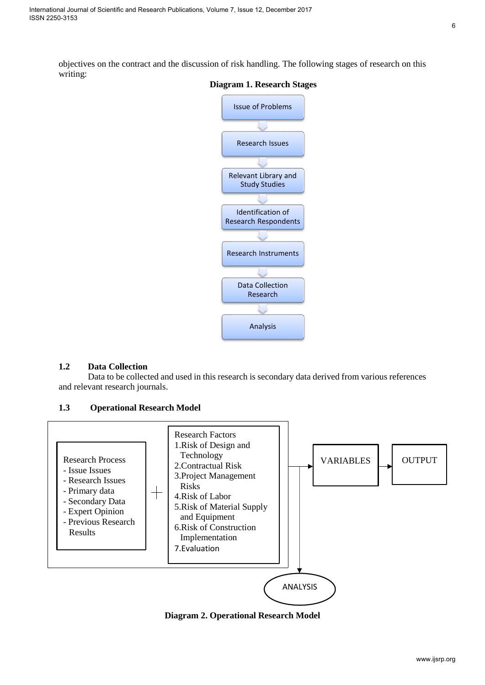objectives on the contract and the discussion of risk handling. The following stages of research on this writing:



#### **Diagram 1. Research Stages**

## **1.2 Data Collection**

Data to be collected and used in this research is secondary data derived from various references and relevant research journals.

## **1.3 Operational Research Model**



**Diagram 2. Operational Research Model**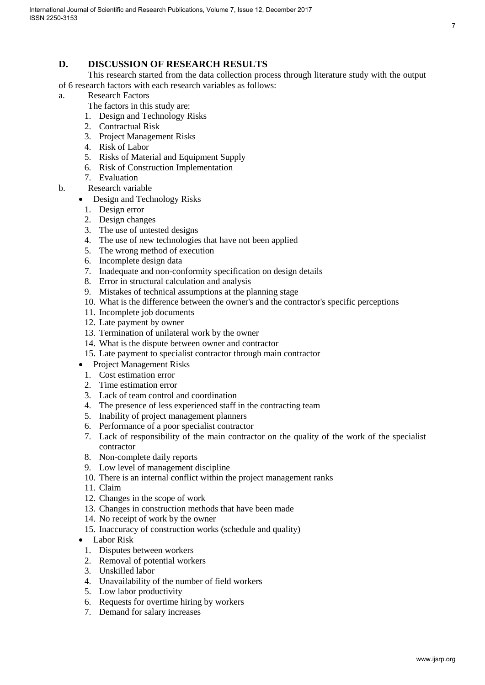7

# **D. DISCUSSION OF RESEARCH RESULTS**

 This research started from the data collection process through literature study with the output of 6 research factors with each research variables as follows:

- a. Research Factors
	- The factors in this study are:
	- 1. Design and Technology Risks
	- 2. Contractual Risk
	- 3. Project Management Risks
	- 4. Risk of Labor
	- 5. Risks of Material and Equipment Supply
	- 6. Risk of Construction Implementation
	- 7. Evaluation
- b. Research variable
	- Design and Technology Risks
		- 1. Design error
		- 2. Design changes
		- 3. The use of untested designs
		- 4. The use of new technologies that have not been applied
		- 5. The wrong method of execution
		- 6. Incomplete design data
		- 7. Inadequate and non-conformity specification on design details
		- 8. Error in structural calculation and analysis
		- 9. Mistakes of technical assumptions at the planning stage
		- 10. What is the difference between the owner's and the contractor's specific perceptions
		- 11. Incomplete job documents
		- 12. Late payment by owner
		- 13. Termination of unilateral work by the owner
		- 14. What is the dispute between owner and contractor
		- 15. Late payment to specialist contractor through main contractor
	- Project Management Risks
		- 1. Cost estimation error
		- 2. Time estimation error
		- 3. Lack of team control and coordination
		- 4. The presence of less experienced staff in the contracting team
		- 5. Inability of project management planners
		- 6. Performance of a poor specialist contractor
		- 7. Lack of responsibility of the main contractor on the quality of the work of the specialist contractor
		- 8. Non-complete daily reports
		- 9. Low level of management discipline
		- 10. There is an internal conflict within the project management ranks
	- 11. Claim
	- 12. Changes in the scope of work
	- 13. Changes in construction methods that have been made
	- 14. No receipt of work by the owner
	- 15. Inaccuracy of construction works (schedule and quality)
	- Labor Risk
		- 1. Disputes between workers
	- 2. Removal of potential workers
	- 3. Unskilled labor
	- 4. Unavailability of the number of field workers
	- 5. Low labor productivity
	- 6. Requests for overtime hiring by workers
	- 7. Demand for salary increases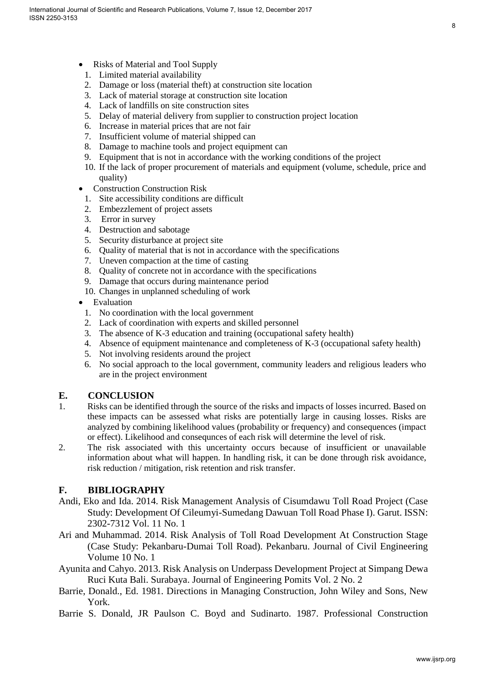- Risks of Material and Tool Supply
	- 1. Limited material availability
	- 2. Damage or loss (material theft) at construction site location
	- 3. Lack of material storage at construction site location
	- 4. Lack of landfills on site construction sites
	- 5. Delay of material delivery from supplier to construction project location
	- 6. Increase in material prices that are not fair
	- 7. Insufficient volume of material shipped can
	- 8. Damage to machine tools and project equipment can
	- 9. Equipment that is not in accordance with the working conditions of the project
	- 10. If the lack of proper procurement of materials and equipment (volume, schedule, price and quality)
- Construction Construction Risk
- 1. Site accessibility conditions are difficult
- 2. Embezzlement of project assets
- 3. Error in survey
- 4. Destruction and sabotage
- 5. Security disturbance at project site
- 6. Quality of material that is not in accordance with the specifications
- 7. Uneven compaction at the time of casting
- 8. Quality of concrete not in accordance with the specifications
- 9. Damage that occurs during maintenance period
- 10. Changes in unplanned scheduling of work
- Evaluation
	- 1. No coordination with the local government
- 2. Lack of coordination with experts and skilled personnel
- 3. The absence of K-3 education and training (occupational safety health)
- 4. Absence of equipment maintenance and completeness of K-3 (occupational safety health)
- 5. Not involving residents around the project
- 6. No social approach to the local government, community leaders and religious leaders who are in the project environment

## **E. CONCLUSION**

- 1. Risks can be identified through the source of the risks and impacts of losses incurred. Based on these impacts can be assessed what risks are potentially large in causing losses. Risks are analyzed by combining likelihood values (probability or frequency) and consequences (impact or effect). Likelihood and consequnces of each risk will determine the level of risk.
- 2. The risk associated with this uncertainty occurs because of insufficient or unavailable information about what will happen. In handling risk, it can be done through risk avoidance, risk reduction / mitigation, risk retention and risk transfer.

## **F. BIBLIOGRAPHY**

- Andi, Eko and Ida. 2014. Risk Management Analysis of Cisumdawu Toll Road Project (Case Study: Development Of Cileumyi-Sumedang Dawuan Toll Road Phase I). Garut. ISSN: 2302-7312 Vol. 11 No. 1
- Ari and Muhammad. 2014. Risk Analysis of Toll Road Development At Construction Stage (Case Study: Pekanbaru-Dumai Toll Road). Pekanbaru. Journal of Civil Engineering Volume 10 No. 1
- Ayunita and Cahyo. 2013. Risk Analysis on Underpass Development Project at Simpang Dewa Ruci Kuta Bali. Surabaya. Journal of Engineering Pomits Vol. 2 No. 2
- Barrie, Donald., Ed. 1981. Directions in Managing Construction, John Wiley and Sons, New York.
- Barrie S. Donald, JR Paulson C. Boyd and Sudinarto. 1987. Professional Construction